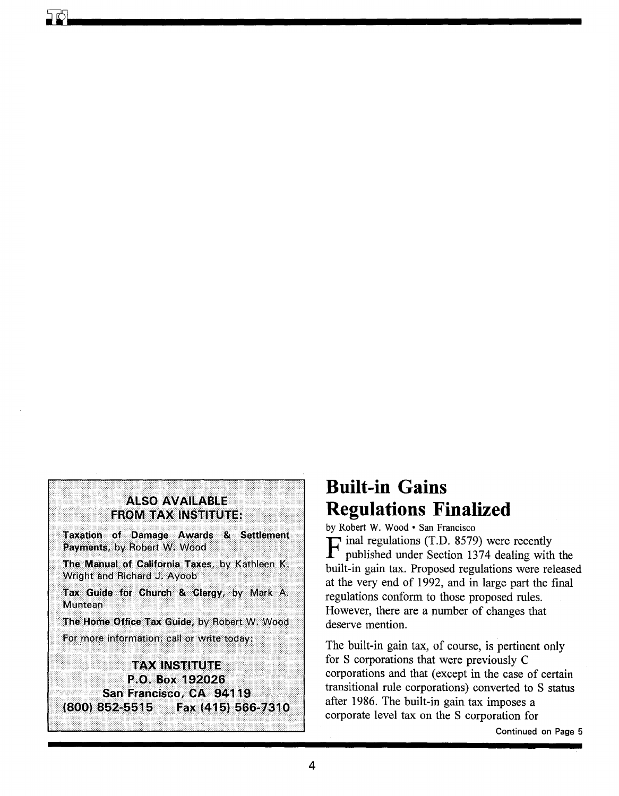# **ALSO AVAILABLE FROM TAX INSTITUTE:**

Taxation of Damage Awards & Settlement Payments, by Robert W. Wood

The Manual of California Taxes, by Kathleen K. Wright and Richard J. Ayoob

Tax Guide for Church & Clergy, by Mark A. Muntean

The Home Office Tax Guide, by Robert W. Wood For more information, call or write today:

# **TAX INSTITUTE**

P.O. Box 192026 San Francisco, CA 94119 (800) 852-5515 Fax (415) 566-7310

# **Built-in Gains Regulations Finalized**

by Robert W. Wood · San Francisco  $\Gamma$  inal regulations (T.D. 8579) were recently published under Section 1374 dealing with the built-in gain tax. Proposed regulations were released at the very end of 1992, and in large part the final regulations conform to those proposed rules. However, there are a number of changes that deserve mention

The built-in gain tax, of course, is pertinent only for S corporations that were previously C corporations and that (except in the case of certain transitional rule corporations) converted to S status after 1986. The built-in gain tax imposes a corporate level tax on the S corporation for

Continued on Page 5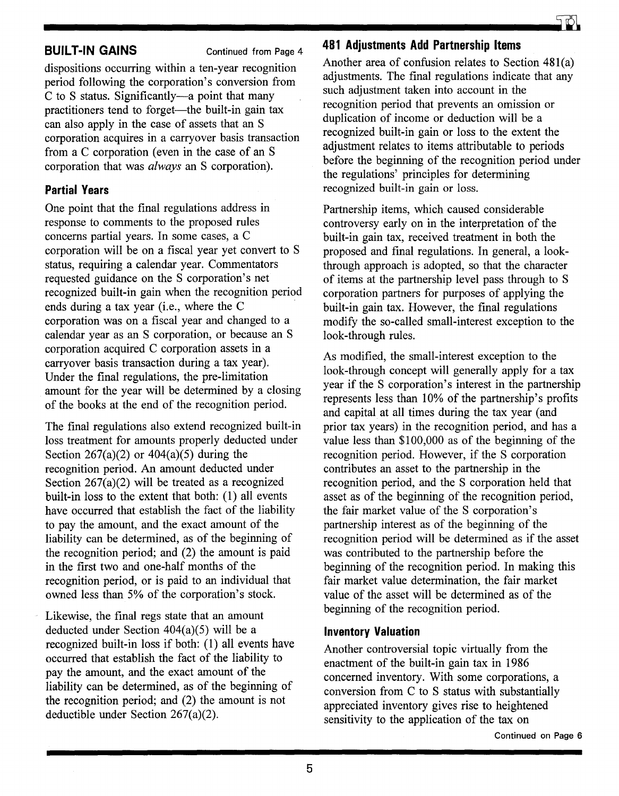**BUILT-IN GAINS Continued from Page 4** 

dispositions occurring within a ten-year recognition period following the corporation's conversion from C to S status. Significantly-a point that many practitioners tend to forget—the built-in gain tax can also apply in the case of assets that an S corporation acquires in a carryover basis transaction from a C corporation (even in the case of an S corporation that was *always* an S corporation).

# **Partial Years**

One point that the final regulations address in response to comments to the proposed rules concerns partial years. In some cases, a C corporation will be on a fiscal year yet convert to S status, requiring a calendar year. Commentators requested guidance on the S corporation's net recognized built-in gain when the recognition period ends during a tax year (i.e., where the C corporation was on a fiscal year and changed to a calendar year as an S corporation, or because an S corporation acquired C corporation assets in a carryover basis transaction during a tax year). Under the final regulations, the pre-limitation amount for the year will be determined by a closing of the books at the end of the recognition period.

The final regulations also extend recognized built-in loss treatment for amounts properly deducted under Section  $267(a)(2)$  or  $404(a)(5)$  during the recognition period. An amount deducted under Section 267(a)(2) will be treated as a recognized built-in loss to the extent that both: (1) all events have occurred that establish the fact of the liability to pay the amount, and the exact amount of the liability can be determined, as of the beginning of the recognition period; and (2) the amount is paid in the first two and one-half months of the recognition period, or is paid to an individual that owned less than 5% of the corporation's stock.

Likewise, the final regs state that an amount deducted under Section 404(a)(5) will be a recognized built-in loss if both: (1) all events have occurred that establish the fact of the liability to pay the amount, and the exact amount of the liability can be determined, as of the beginning of the recognition period; and (2) the amount is not deductible under Section 267(a)(2).



### **481 Adjustments Add Partnership Items**

Another area of confusion relates to Section 481(a) adjustments. The final regulations indicate that any such adjustment taken into account in the recognition period that prevents an omission or duplication of income or deduction will be a recognized built-in gain or loss to the extent the adjustment relates to items attributable to periods before the beginning of the recognition period under the regulations' principles for determining recognized built-in gain or loss.

Partnership items, which caused considerable controversy early on in the interpretation of the built-in gain tax, received treatment in both the proposed and final regulations. In general, a lookthrough approach is adopted, so that the character of items at the partnership level pass through to S corporation partners for purposes of applying the built-in gain tax. However, the final regulations modify the so-called small-interest exception to the look-through rules.

As modified, the small-interest exception to the look-through concept will generally apply for a tax year if the S corporation's interest in the partnership represents less than 10% of the partnership's profits and capital at all times during the tax year (and prior tax years) in the recognition period, and has a value less than \$100,000 as of the beginning of the recognition period. However, if the S corporation contributes an asset to the partnership in the recognition period, and the S corporation held that asset as of the beginning of the recognition period, the fair market value of the S corporation's partnership interest as of the beginning of the recognition period will be determined as if the asset was contributed to the partnership before the beginning of the recognition period. In making this fair market value determination, the fair market value of the asset will be determined as of the beginning of the recognition period.

## **Inventory Valuation**

Another controversial topic virtually from the enactment of the built-in gain tax in 1986 concerned inventory. With some corporations, a conversion from C to S status with substantially appreciated inventory gives rise to heightened sensitivity to the application of the tax on